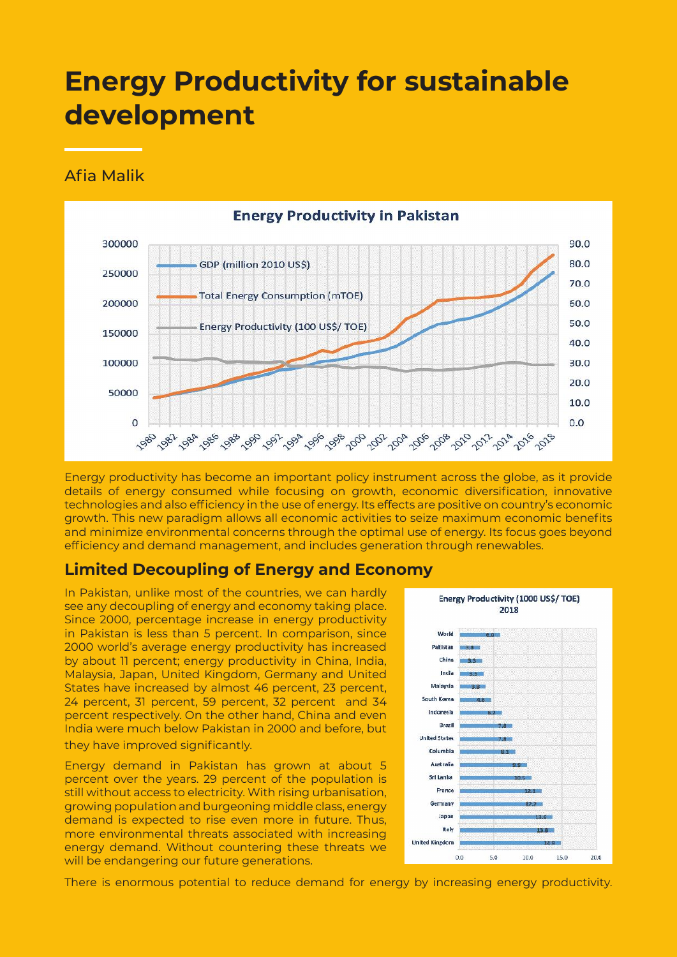# **Energy Productivity for sustainable development**

#### Afia Malik



Energy productivity has become an important policy instrument across the globe, as it provide details of energy consumed while focusing on growth, economic diversification, innovative technologies and also efficiency in the use of energy. Its effects are positive on country's economic growth. This new paradigm allows all economic activities to seize maximum economic benefits and minimize environmental concerns through the optimal use of energy. Its focus goes beyond efficiency and demand management, and includes generation through renewables.

### **Limited Decoupling of Energy and Economy**

In Pakistan, unlike most of the countries, we can hardly see any decoupling of energy and economy taking place. Since 2000, percentage increase in energy productivity in Pakistan is less than 5 percent. In comparison, since 2000 world's average energy productivity has increased by about 11 percent; energy productivity in China, India, Malaysia, Japan, United Kingdom, Germany and United States have increased by almost 46 percent, 23 percent, 24 percent, 31 percent, 59 percent, 32 percent and 34 percent respectively. On the other hand, China and even India were much below Pakistan in 2000 and before, but they have improved significantly.

Energy demand in Pakistan has grown at about 5 percent over the years. 29 percent of the population is still without access to electricity. With rising urbanisation, growing population and burgeoning middle class, energy demand is expected to rise even more in future. Thus, more environmental threats associated with increasing energy demand. Without countering these threats we will be endangering our future generations.



There is enormous potential to reduce demand for energy by increasing energy productivity.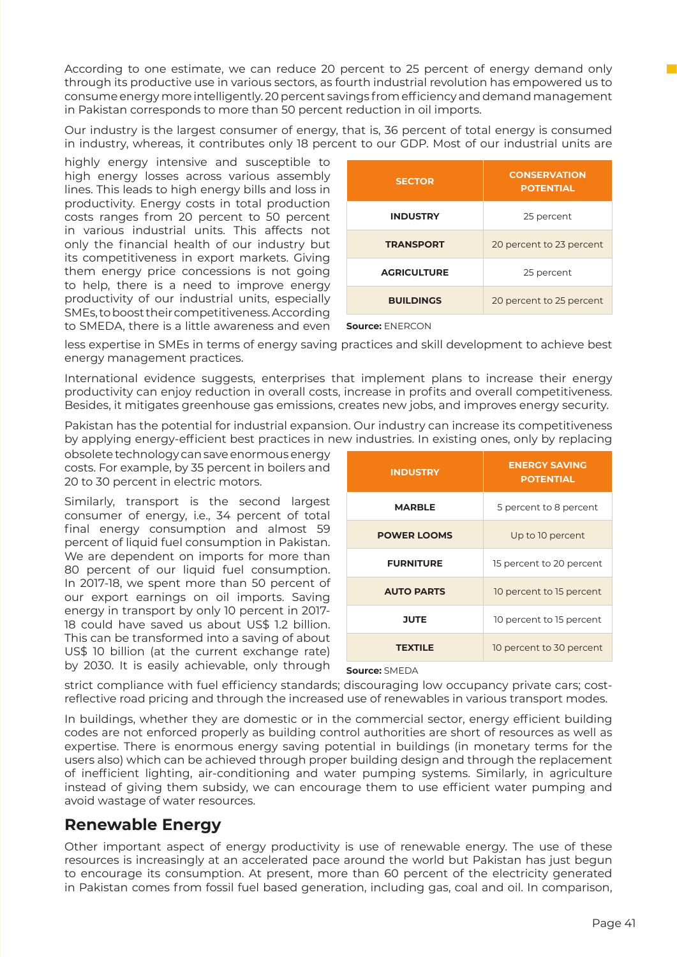According to one estimate, we can reduce 20 percent to 25 percent of energy demand only through its productive use in various sectors, as fourth industrial revolution has empowered us to consume energy more intelligently. 20 percent savings from efficiency and demand management in Pakistan corresponds to more than 50 percent reduction in oil imports.

Our industry is the largest consumer of energy, that is, 36 percent of total energy is consumed in industry, whereas, it contributes only 18 percent to our GDP. Most of our industrial units are

highly energy intensive and susceptible to high energy losses across various assembly lines. This leads to high energy bills and loss in productivity. Energy costs in total production costs ranges from 20 percent to 50 percent in various industrial units. This affects not only the financial health of our industry but its competitiveness in export markets. Giving them energy price concessions is not going to help, there is a need to improve energy productivity of our industrial units, especially SMEs, to boost their competitiveness. According to SMEDA, there is a little awareness and even

| <b>SECTOR</b>      | <b>CONSERVATION</b><br><b>POTENTIAL</b> |
|--------------------|-----------------------------------------|
| <b>INDUSTRY</b>    | 25 percent                              |
| <b>TRANSPORT</b>   | 20 percent to 23 percent                |
| <b>AGRICULTURE</b> | 25 percent                              |
| <b>BUILDINGS</b>   | 20 percent to 25 percent                |

**Source:** ENERCON

less expertise in SMEs in terms of energy saving practices and skill development to achieve best energy management practices.

International evidence suggests, enterprises that implement plans to increase their energy productivity can enjoy reduction in overall costs, increase in profits and overall competitiveness. Besides, it mitigates greenhouse gas emissions, creates new jobs, and improves energy security.

Pakistan has the potential for industrial expansion. Our industry can increase its competitiveness by applying energy-efficient best practices in new industries. In existing ones, only by replacing

obsolete technology can save enormous energy costs. For example, by 35 percent in boilers and 20 to 30 percent in electric motors.

Similarly, transport is the second largest consumer of energy, i.e., 34 percent of total final energy consumption and almost 59 percent of liquid fuel consumption in Pakistan. We are dependent on imports for more than 80 percent of our liquid fuel consumption. In 2017-18, we spent more than 50 percent of our export earnings on oil imports. Saving energy in transport by only 10 percent in 2017- 18 could have saved us about US\$ 1.2 billion. This can be transformed into a saving of about US\$ 10 billion (at the current exchange rate) by 2030. It is easily achievable, only through

| <b>INDUSTRY</b>    | <b>ENERGY SAVING</b><br><b>POTENTIAL</b> |
|--------------------|------------------------------------------|
| <b>MARBLE</b>      | 5 percent to 8 percent                   |
| <b>POWER LOOMS</b> | Up to 10 percent                         |
| <b>FURNITURE</b>   | 15 percent to 20 percent                 |
| <b>AUTO PARTS</b>  | 10 percent to 15 percent                 |
| <b>JUTE</b>        | 10 percent to 15 percent                 |
| <b>TEXTILE</b>     | 10 percent to 30 percent                 |

**Source:** SMEDA

strict compliance with fuel efficiency standards; discouraging low occupancy private cars; costreflective road pricing and through the increased use of renewables in various transport modes.

In buildings, whether they are domestic or in the commercial sector, energy efficient building codes are not enforced properly as building control authorities are short of resources as well as expertise. There is enormous energy saving potential in buildings (in monetary terms for the users also) which can be achieved through proper building design and through the replacement of inefficient lighting, air-conditioning and water pumping systems. Similarly, in agriculture instead of giving them subsidy, we can encourage them to use efficient water pumping and avoid wastage of water resources.

### **Renewable Energy**

Other important aspect of energy productivity is use of renewable energy. The use of these resources is increasingly at an accelerated pace around the world but Pakistan has just begun to encourage its consumption. At present, more than 60 percent of the electricity generated in Pakistan comes from fossil fuel based generation, including gas, coal and oil. In comparison,